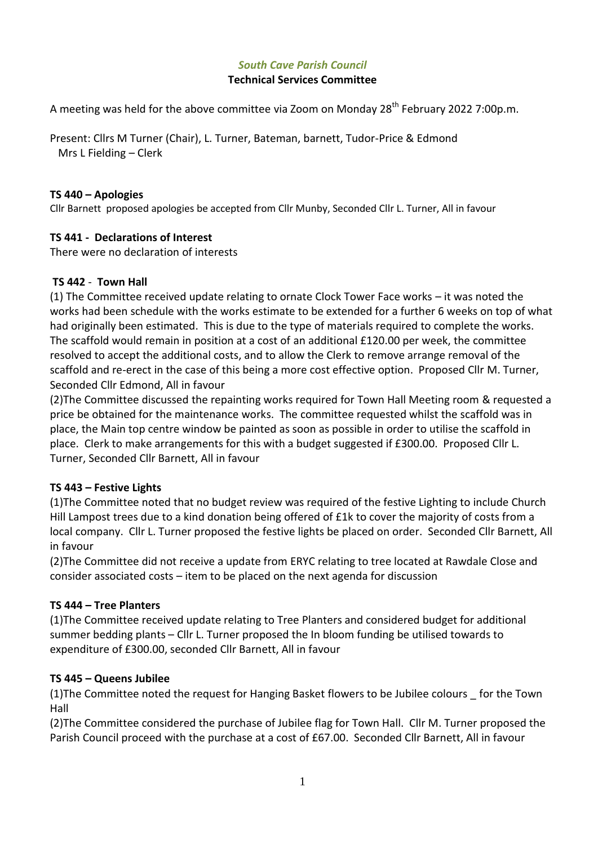## *South Cave Parish Council*

### **Technical Services Committee**

A meeting was held for the above committee via Zoom on Monday  $28<sup>th</sup>$  February 2022 7:00p.m.

Present: Cllrs M Turner (Chair), L. Turner, Bateman, barnett, Tudor-Price & Edmond Mrs L Fielding – Clerk

#### **TS 440 – Apologies**

Cllr Barnett proposed apologies be accepted from Cllr Munby, Seconded Cllr L. Turner, All in favour

#### **TS 441 - Declarations of Interest**

There were no declaration of interests

#### **TS 442** - **Town Hall**

(1) The Committee received update relating to ornate Clock Tower Face works – it was noted the works had been schedule with the works estimate to be extended for a further 6 weeks on top of what had originally been estimated. This is due to the type of materials required to complete the works. The scaffold would remain in position at a cost of an additional £120.00 per week, the committee resolved to accept the additional costs, and to allow the Clerk to remove arrange removal of the scaffold and re-erect in the case of this being a more cost effective option. Proposed Cllr M. Turner, Seconded Cllr Edmond, All in favour

(2)The Committee discussed the repainting works required for Town Hall Meeting room & requested a price be obtained for the maintenance works. The committee requested whilst the scaffold was in place, the Main top centre window be painted as soon as possible in order to utilise the scaffold in place. Clerk to make arrangements for this with a budget suggested if £300.00. Proposed Cllr L. Turner, Seconded Cllr Barnett, All in favour

#### **TS 443 – Festive Lights**

(1)The Committee noted that no budget review was required of the festive Lighting to include Church Hill Lampost trees due to a kind donation being offered of £1k to cover the majority of costs from a local company. Cllr L. Turner proposed the festive lights be placed on order. Seconded Cllr Barnett, All in favour

(2)The Committee did not receive a update from ERYC relating to tree located at Rawdale Close and consider associated costs – item to be placed on the next agenda for discussion

#### **TS 444 – Tree Planters**

(1)The Committee received update relating to Tree Planters and considered budget for additional summer bedding plants – Cllr L. Turner proposed the In bloom funding be utilised towards to expenditure of £300.00, seconded Cllr Barnett, All in favour

#### **TS 445 – Queens Jubilee**

(1)The Committee noted the request for Hanging Basket flowers to be Jubilee colours \_ for the Town Hall

(2)The Committee considered the purchase of Jubilee flag for Town Hall. Cllr M. Turner proposed the Parish Council proceed with the purchase at a cost of £67.00. Seconded Cllr Barnett, All in favour